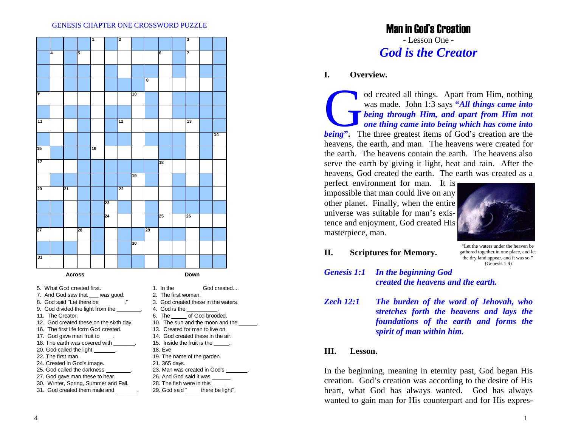#### GENESIS CHAPTER ONE CROSSWORD PUZZLE



- 5. What God created first.
- 7. And God saw that \_\_\_ was good.
- 8. God said "Let there be  $\qquad \qquad$ .
- 9. God divided the light from the
- 11. The Creator.
- 12. God created these on the sixth day.
- 16. The first life form God created.
- 17. God gave man fruit to \_\_\_\_.
- 18. The earth was covered with
- 20. God called the light
- 22. The first man.
- 24. Created in God's image.
- 25. God called the darkness
- 27. God gave man these to hear.
- 30. Winter, Spring, Summer and Fall. 31. God created them male and
- 1. In the God created.... 2. The first woman.3. God created these in the waters.4. God is the 6. The \_\_\_\_\_ of God brooded. 10. The sun and the moon and the 13. Created for man to live on.
- 14. God created these in the air.
- 15. Inside the fruit is the  $\qquad \qquad$ .
- 18. Eve
- 19. The name of the garden.
- 21. 365 days.
- 23. Man was created in God's
- 26. And God said it was
- 28. The fish were in this  $\qquad$ .
- 29. God said "\_\_\_\_ there be light".

# Man in God's Creation - Lesson One - *God is the Creator*

### **I. Overview.**

od created all things. Apart from Him, nothing was made. John 1:3 says **"***All things came into being through Him, and apart from Him not one thing came into being which has come into being*. The three greatest items of God's creation are the heavens, the earth, and man. The heavens were created for the earth. The heavens contain the earth. The heavens also serve the earth by giving it light, heat and rain. After the heavens, God created the earth. The earth was created as a

perfect environment for man. It is impossible that man could live on any other planet. Finally, when the entire universe was suitable for man's existence and enjoyment, God created His masterpiece, man.



**II. Scriptures for Memory.**

"Let the waters under the heaven be gathered together in one place, and let the dry land appear, and it was so." (Genesis 1:9)

- *Genesis 1:1 In the beginning God created the heavens and the earth.*
- *Zech 12:1 The burden of the word of Jehovah, who stretches forth the heavens and lays the foundations of the earth and forms the spirit of man within him.*

### **III. Lesson.**

In the beginning, meaning in eternity past, God began His creation. God's creation was according to the desire of His heart, what God has always wanted. God has always wanted to gain man for His counterpart and for His expres-